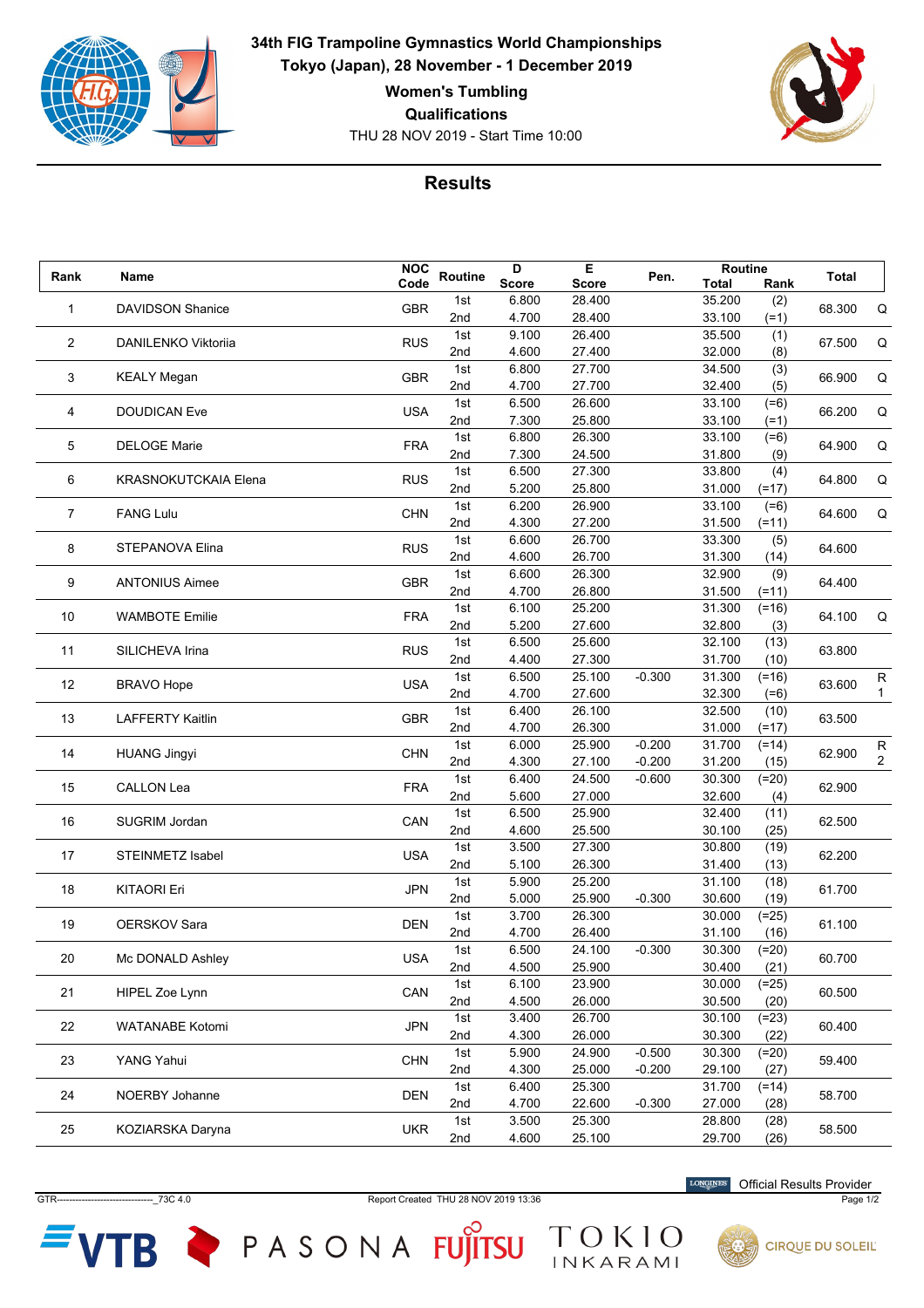

**34th FIG Trampoline Gymnastics World Championships Tokyo (Japan), 28 November - 1 December 2019**

**Women's Tumbling**

**Qualifications**

THU 28 NOV 2019 - Start Time 10:00



## **Results**

| Rank        | Name                        | <b>NOC</b> | Routine | D            | Е            | Pen.     | Routine      |         | Total  |                   |
|-------------|-----------------------------|------------|---------|--------------|--------------|----------|--------------|---------|--------|-------------------|
|             |                             | Code       |         | <b>Score</b> | <b>Score</b> |          | <b>Total</b> | Rank    |        |                   |
| $\mathbf 1$ | <b>DAVIDSON Shanice</b>     | <b>GBR</b> | 1st     | 6.800        | 28.400       |          | 35.200       | (2)     | 68.300 | Q                 |
|             |                             |            | 2nd     | 4.700        | 28.400       |          | 33.100       | $(=1)$  |        |                   |
| 2           | DANILENKO Viktoriia         | <b>RUS</b> | 1st     | 9.100        | 26.400       |          | 35.500       | (1)     | 67.500 | Q                 |
|             |                             |            | 2nd     | 4.600        | 27.400       |          | 32.000       | (8)     |        |                   |
| 3           |                             | <b>GBR</b> | 1st     | 6.800        | 27.700       |          | 34.500       | (3)     | 66.900 | Q                 |
|             | <b>KEALY Megan</b>          |            | 2nd     | 4.700        | 27.700       |          | 32.400       | (5)     |        |                   |
|             | <b>DOUDICAN Eve</b>         | <b>USA</b> | 1st     | 6.500        | 26.600       |          | 33.100       | $(=6)$  | 66.200 |                   |
| 4           |                             |            | 2nd     | 7.300        | 25.800       |          | 33.100       | $(=1)$  |        | Q                 |
|             |                             |            | 1st     | 6.800        | 26.300       |          | 33.100       | $(=6)$  |        |                   |
| 5           | <b>DELOGE Marie</b>         | <b>FRA</b> | 2nd     | 7.300        | 24.500       |          | 31.800       | (9)     | 64.900 | Q                 |
|             |                             |            | 1st     | 6.500        | 27.300       |          | 33.800       | (4)     |        |                   |
| 6           | <b>KRASNOKUTCKAIA Elena</b> | <b>RUS</b> | 2nd     | 5.200        | 25.800       |          | 31.000       | (=17)   | 64.800 | Q                 |
|             |                             |            | 1st     | 6.200        | 26.900       |          | 33.100       | $(=6)$  |        |                   |
| 7           | <b>FANG Lulu</b>            | <b>CHN</b> | 2nd     | 4.300        | 27.200       |          | 31.500       | $(=11)$ | 64.600 | Q                 |
|             |                             |            | 1st     | 6.600        | 26.700       |          | 33.300       | (5)     |        |                   |
| 8           | STEPANOVA Elina             | <b>RUS</b> | 2nd     | 4.600        | 26.700       |          | 31.300       | (14)    | 64.600 |                   |
|             |                             |            | 1st     | 6.600        | 26.300       |          | 32.900       | (9)     |        |                   |
| 9           | <b>ANTONIUS Aimee</b>       | <b>GBR</b> | 2nd     | 4.700        | 26.800       |          | 31.500       | (=11)   | 64.400 |                   |
|             |                             |            | 1st     | 6.100        | 25.200       |          | 31.300       | $(=16)$ |        |                   |
| 10          | <b>WAMBOTE Emilie</b>       | <b>FRA</b> | 2nd     | 5.200        | 27.600       |          | 32.800       | (3)     | 64.100 | Q                 |
|             |                             |            | 1st     | 6.500        | 25.600       |          | 32.100       | (13)    |        |                   |
| 11          | SILICHEVA Irina             | <b>RUS</b> | 2nd     | 4.400        | 27.300       |          | 31.700       | (10)    | 63.800 |                   |
|             |                             |            |         |              |              |          | 31.300       |         |        |                   |
| 12          | <b>BRAVO Hope</b>           | <b>USA</b> | 1st     | 6.500        | 25.100       | $-0.300$ |              | $(=16)$ | 63.600 | R<br>$\mathbf{1}$ |
|             |                             |            | 2nd     | 4.700        | 27.600       |          | 32.300       | $(=6)$  |        |                   |
| 13          | <b>LAFFERTY Kaitlin</b>     | <b>GBR</b> | 1st     | 6.400        | 26.100       |          | 32.500       | (10)    | 63.500 |                   |
|             |                             |            | 2nd     | 4.700        | 26.300       |          | 31.000       | $(=17)$ |        |                   |
| 14          | <b>HUANG Jingyi</b>         | <b>CHN</b> | 1st     | 6.000        | 25.900       | $-0.200$ | 31.700       | $(=14)$ | 62.900 | R                 |
|             |                             |            | 2nd     | 4.300        | 27.100       | $-0.200$ | 31.200       | (15)    |        | $\overline{2}$    |
| 15          | <b>CALLON Lea</b>           | <b>FRA</b> | 1st     | 6.400        | 24.500       | $-0.600$ | 30.300       | $(=20)$ | 62.900 |                   |
|             |                             |            | 2nd     | 5.600        | 27.000       |          | 32.600       | (4)     |        |                   |
| 16          | <b>SUGRIM Jordan</b>        | CAN        | 1st     | 6.500        | 25.900       |          | 32.400       | (11)    | 62.500 |                   |
|             |                             |            | 2nd     | 4.600        | 25.500       |          | 30.100       | (25)    |        |                   |
| 17          | <b>STEINMETZ Isabel</b>     | <b>USA</b> | 1st     | 3.500        | 27.300       |          | 30.800       | (19)    | 62.200 |                   |
|             |                             |            | 2nd     | 5.100        | 26.300       |          | 31.400       | (13)    |        |                   |
| 18          | <b>KITAORI Eri</b>          | <b>JPN</b> | 1st     | 5.900        | 25.200       |          | 31.100       | (18)    | 61.700 |                   |
|             |                             |            | 2nd     | 5.000        | 25.900       | $-0.300$ | 30.600       | (19)    |        |                   |
| 19          | <b>OERSKOV Sara</b>         | <b>DEN</b> | 1st     | 3.700        | 26.300       |          | 30.000       | $(=25)$ | 61.100 |                   |
|             |                             |            | 2nd     | 4.700        | 26.400       |          | 31.100       | (16)    |        |                   |
|             | Mc DONALD Ashley            | <b>USA</b> | 1st     | 6.500        | 24.100       | $-0.300$ | 30.300       | $(=20)$ | 60.700 |                   |
| 20          |                             |            | 2nd     | 4.500        | 25.900       |          | 30.400       | (21)    |        |                   |
|             |                             |            | 1st     | 6.100        | 23.900       |          | 30.000       | $(=25)$ |        |                   |
| 21          | HIPEL Zoe Lynn              | CAN        | 2nd     | 4.500        | 26.000       |          | 30.500       | (20)    | 60.500 |                   |
|             |                             |            | 1st     | 3.400        | 26.700       |          | 30.100       | $(=23)$ |        |                   |
| 22          | <b>WATANABE Kotomi</b>      | <b>JPN</b> | 2nd     | 4.300        | 26.000       |          | 30.300       | (22)    | 60.400 |                   |
|             |                             |            | 1st     | 5.900        | 24.900       | $-0.500$ | 30.300       | $(=20)$ |        |                   |
| 23          | YANG Yahui                  | <b>CHN</b> | 2nd     | 4.300        | 25.000       | $-0.200$ | 29.100       | (27)    | 59.400 |                   |
|             |                             |            | 1st     | 6.400        | 25.300       |          | 31.700       | $(=14)$ |        |                   |
| 24          | NOERBY Johanne              | <b>DEN</b> | 2nd     | 4.700        | 22.600       | $-0.300$ | 27.000       | (28)    | 58.700 |                   |
|             |                             |            | 1st     | 3.500        | 25.300       |          | 28.800       | (28)    |        |                   |
| 25          | KOZIARSKA Daryna            | <b>UKR</b> | 2nd     | 4.600        | 25.100       |          | 29.700       | (26)    | 58.500 |                   |
|             |                             |            |         |              |              |          |              |         |        |                   |

GTR-------------------------------\_73C 4.0 Report Created THU 28 NOV 2019 13:36 Page 1/2

TOKIO

 $VTB$  PASONA FUJITSU

Official Results Provider